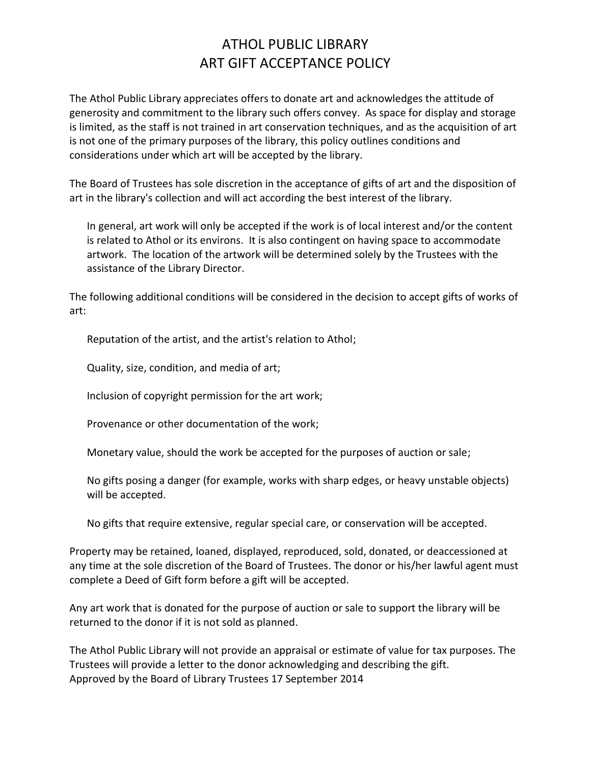## ATHOL PUBLIC LIBRARY ART GIFT ACCEPTANCE POLICY

The Athol Public Library appreciates offers to donate art and acknowledges the attitude of generosity and commitment to the library such offers convey. As space for display and storage is limited, as the staff is not trained in art conservation techniques, and as the acquisition of art is not one of the primary purposes of the library, this policy outlines conditions and considerations under which art will be accepted by the library.

The Board of Trustees has sole discretion in the acceptance of gifts of art and the disposition of art in the library's collection and will act according the best interest of the library.

In general, art work will only be accepted if the work is of local interest and/or the content is related to Athol or its environs. It is also contingent on having space to accommodate artwork. The location of the artwork will be determined solely by the Trustees with the assistance of the Library Director.

The following additional conditions will be considered in the decision to accept gifts of works of art:

Reputation of the artist, and the artist's relation to Athol;

Quality, size, condition, and media of art;

Inclusion of copyright permission for the art work;

Provenance or other documentation of the work;

Monetary value, should the work be accepted for the purposes of auction or sale;

No gifts posing a danger (for example, works with sharp edges, or heavy unstable objects) will be accepted.

No gifts that require extensive, regular special care, or conservation will be accepted.

Property may be retained, loaned, displayed, reproduced, sold, donated, or deaccessioned at any time at the sole discretion of the Board of Trustees. The donor or his/her lawful agent must complete a Deed of Gift form before a gift will be accepted.

Any art work that is donated for the purpose of auction or sale to support the library will be returned to the donor if it is not sold as planned.

The Athol Public Library will not provide an appraisal or estimate of value for tax purposes. The Trustees will provide a letter to the donor acknowledging and describing the gift. Approved by the Board of Library Trustees 17 September 2014